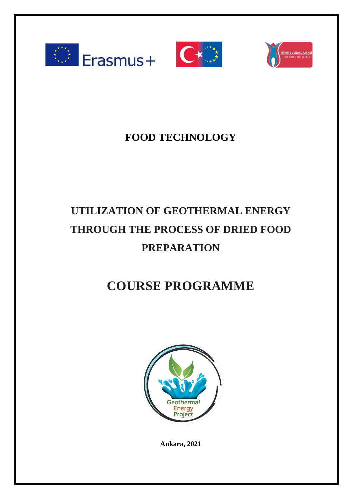





## **FOOD TECHNOLOGY**

# **UTILIZATION OF GEOTHERMAL ENERGY THROUGH THE PROCESS OF DRIED FOOD PREPARATION**

## **COURSE PROGRAMME**



**Ankara, 2021**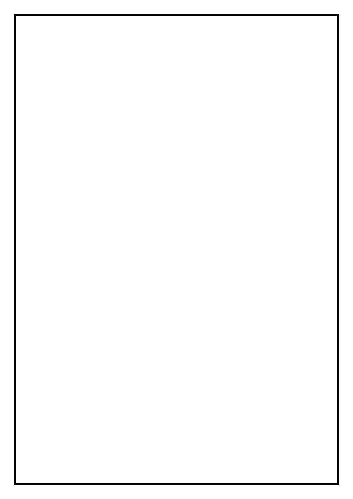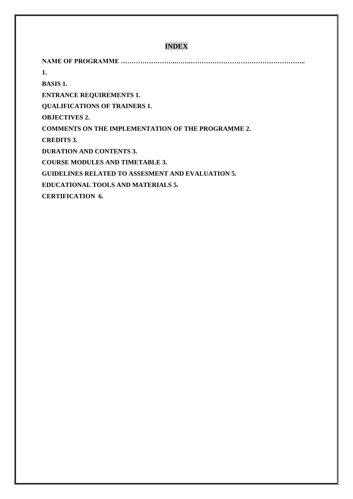#### **INDEX**

**NAME OF PROGRAMME ……………………..…….…………………………………………….. 1. BASIS 1. ENTRANCE REQUIREMENTS 1. QUALIFICATIONS OF TRAINERS 1. OBJECTIVES 2. COMMENTS ON THE IMPLEMENTATION OF THE PROGRAMME 2. CREDITS 3. DURATION AND CONTENTS 3. COURSE MODULES AND TIMETABLE 3. GUIDELINES RELATED TO ASSESMENT AND EVALUATION 5. EDUCATIONAL TOOLS AND MATERIALS 5. CERTIFICATION 6.**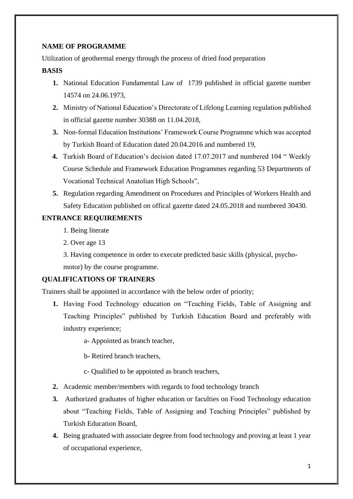## **NAME OF PROGRAMME**

Utilization of geothermal energy through the process of dried food preparation

## **BASIS**

- **1.** National Education Fundamental Law of 1739 published in official gazette number 14574 on 24.06.1973,
- **2.** Ministry of National Education's Directorate of Lifelong Learning regulation published in official gazette number 30388 on 11.04.2018,
- **3.** Non-formal Education Institutions' Framework Course Programme which was accepted by Turkish Board of Education dated 20.04.2016 and numbered 19,
- **4.** Turkish Board of Education's decision dated 17.07.2017 and numbered 104 " Weekly Course Schedule and Framework Education Programmes regarding 53 Departments of Vocational Technical Anatolian High Schools",
- **5.** Regulation regarding Amendment on Procedures and Principles of Workers Health and Safety Education published on offical gazette dated 24.05.2018 and numbered 30430.

## **ENTRANCE REQUIREMENTS**

- 1. Being literate
- 2. Over age 13

3. Having competence in order to execute predicted basic skills (physical, psychomotor) by the course programme.

## **QUALIFICATIONS OF TRAINERS**

Trainers shall be appointed in accordance with the below order of priority;

- **1.** Having Food Technology education on "Teaching Fields, Table of Assigning and Teaching Principles" published by Turkish Education Board and preferably with industry experience;
	- a- Appointed as branch teacher,
	- b- Retired branch teachers,
	- c- Qualified to be appointed as branch teachers,
- **2.** Academic member/members with regards to food technology branch
- **3.** Authorized graduates of higher education or faculties on Food Technology education about "Teaching Fields, Table of Assigning and Teaching Principles" published by Turkish Education Board,
- **4.** Being graduated with associate degree from food technology and proving at least 1 year of occupational experience,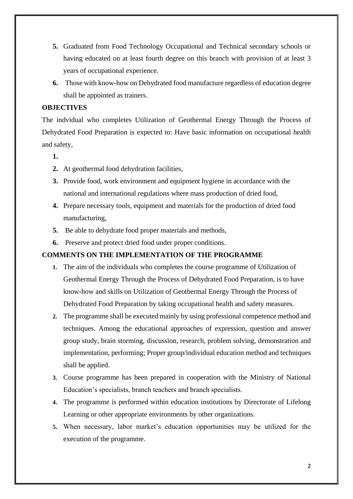- **5.** Graduated from Food Technology Occupational and Technical secondary schools or having educated on at least fourth degree on this branch with provision of at least 3 years of occupational experience.
- **6.** Those with know-how on Dehydrated food manufacture regardless of education degree shall be appointed as trainers.

#### **OBJECTIVES**

The indvidual who completes Utilization of Geothermal Energy Through the Process of Dehydrated Food Preparation is expected to: Have basic information on occupational health and safety,

- **1.**
- **2.** At geothermal food dehydration facilities,
- **3.** Provide food, work environment and equipment hygiene in accordance with the national and international regulations where mass production of dried food,
- **4.** Prepare necessary tools, equipment and materials for the production of dried food manufacturing,
- **5.** Be able to dehydrate food proper materials and methods,
- **6.** Preserve and protect dried food under proper conditions.

#### **COMMENTS ON THE IMPLEMENTATION OF THE PROGRAMME**

- **1.** The aim of the individuals who completes the course programme of Utilization of Geothermal Energy Through the Process of Dehydrated Food Preparation, is to have know-how and skills on Utilization of Geothermal Energy Through the Process of Dehydrated Food Preparation by taking occupational health and safety measures.
- **2.** The programme shall be executed mainly by using professional competence method and techniques. Among the educational approaches of expression, question and answer group study, brain storming, discussion, research, problem solving, demonstration and implementation, performing; Proper group/individual education method and techniques shall be applied.
- **3.** Course programme has been prepared in cooperation with the Ministry of National Education's specialists, branch teachers and branch specialists.
- **4.** The programme is performed within education institutions by Directorate of Lifelong Learning or other appropriate environments by other organizations.
- **5.** When necessary, labor market's education opportunities may be utilized for the execution of the programme.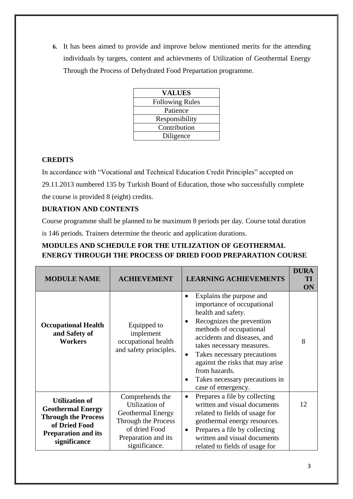**6.** It has been aimed to provide and improve below mentioned merits for the attending individuals by targets, content and achievments of Utilization of Geothermal Energy Through the Process of Dehydrated Food Prepartation programme.

| <b>VALUES</b>          |
|------------------------|
| <b>Following Rules</b> |
| Patience               |
| Responsibility         |
| Contribution           |
| Diligence              |

## **CREDITS**

In accordance with "Vocational and Technical Education Credit Principles" accepted on 29.11.2013 numbered 135 by Turkish Board of Education, those who successfully complete the course is provided 8 (eight) credits.

## **DURATION AND CONTENTS**

Course programme shall be planned to be maximum 8 periods per day. Course total duration is 146 periods. Trainers determine the theoric and application durations.

## **MODULES AND SCHEDULE FOR THE UTILIZATION OF GEOTHERMAL ENERGY THROUGH THE PROCESS OF DRIED FOOD PREPARATION COURSE**

| <b>MODULE NAME</b>                                                                                                                             | <b>ACHIEVEMENT</b>                                                                                                                     | <b>LEARNING ACHIEVEMENTS</b>                                                                                                                                                                                                                                                                                                                                           | <b>DURA</b><br>TI<br>ON |
|------------------------------------------------------------------------------------------------------------------------------------------------|----------------------------------------------------------------------------------------------------------------------------------------|------------------------------------------------------------------------------------------------------------------------------------------------------------------------------------------------------------------------------------------------------------------------------------------------------------------------------------------------------------------------|-------------------------|
| <b>Occupational Health</b><br>and Safety of<br><b>Workers</b>                                                                                  | Equipped to<br>implement<br>occupational health<br>and safety principles.                                                              | Explains the purpose and<br>importance of occupational<br>health and safety.<br>Recognizes the prevention<br>methods of occupational<br>accidents and diseases, and<br>takes necessary measures.<br>Takes necessary precautions<br>$\bullet$<br>against the risks that may arise<br>from hazards.<br>Takes necessary precautions in<br>$\bullet$<br>case of emergency. | 8                       |
| <b>Utilization of</b><br><b>Geothermal Energy</b><br><b>Through the Process</b><br>of Dried Food<br><b>Preparation and its</b><br>significance | Comprehends the<br>Utilization of<br>Geothermal Energy<br>Through the Process<br>of dried Food<br>Preparation and its<br>significance. | Prepares a file by collecting<br>$\bullet$<br>written and visual documents<br>related to fields of usage for<br>geothermal energy resources.<br>Prepares a file by collecting<br>$\bullet$<br>written and visual documents<br>related to fields of usage for                                                                                                           | 12                      |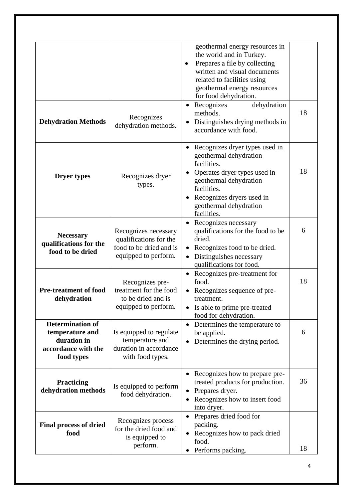|                                                                                                |                                                                                                   | geothermal energy resources in<br>the world and in Turkey.<br>Prepares a file by collecting<br>$\bullet$<br>written and visual documents<br>related to facilities using<br>geothermal energy resources<br>for food dehydration. |    |
|------------------------------------------------------------------------------------------------|---------------------------------------------------------------------------------------------------|---------------------------------------------------------------------------------------------------------------------------------------------------------------------------------------------------------------------------------|----|
| <b>Dehydration Methods</b>                                                                     | Recognizes<br>dehydration methods.                                                                | Recognizes<br>dehydration<br>$\bullet$<br>methods.<br>Distinguishes drying methods in<br>accordance with food.                                                                                                                  | 18 |
| <b>Dryer types</b>                                                                             | Recognizes dryer<br>types.                                                                        | Recognizes dryer types used in<br>geothermal dehydration<br>facilities.<br>Operates dryer types used in<br>geothermal dehydration<br>facilities.<br>Recognizes dryers used in<br>geothermal dehydration<br>facilities.          | 18 |
| <b>Necessary</b><br>qualifications for the<br>food to be dried                                 | Recognizes necessary<br>qualifications for the<br>food to be dried and is<br>equipped to perform. | Recognizes necessary<br>$\bullet$<br>qualifications for the food to be<br>dried.<br>Recognizes food to be dried.<br>$\bullet$<br>Distinguishes necessary<br>qualifications for food.                                            | 6  |
| <b>Pre-treatment of food</b><br>dehydration                                                    | Recognizes pre-<br>treatment for the food<br>to be dried and is<br>equipped to perform.           | Recognizes pre-treatment for<br>food.<br>Recognizes sequence of pre-<br>treatment.<br>Is able to prime pre-treated<br>food for dehydration.                                                                                     | 18 |
| <b>Determination of</b><br>temperature and<br>duration in<br>accordance with the<br>food types | Is equipped to regulate<br>temperature and<br>duration in accordance<br>with food types.          | Determines the temperature to<br>be applied.<br>Determines the drying period.                                                                                                                                                   | 6  |
| <b>Practicing</b><br>dehydration methods                                                       | Is equipped to perform<br>food dehydration.                                                       | Recognizes how to prepare pre-<br>treated products for production.<br>Prepares dryer.<br>$\bullet$<br>Recognizes how to insert food<br>into dryer.                                                                              | 36 |
| <b>Final process of dried</b><br>food                                                          | Recognizes process<br>for the dried food and<br>is equipped to<br>perform.                        | Prepares dried food for<br>packing.<br>Recognizes how to pack dried<br>food.<br>Performs packing.                                                                                                                               | 18 |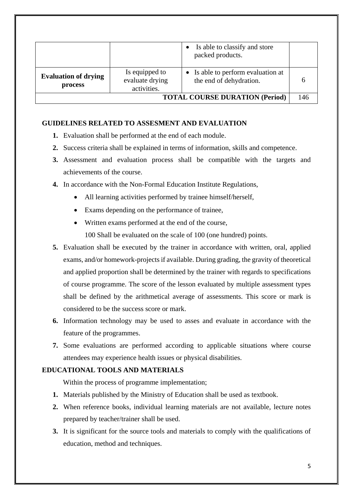|                                        |                                                  | Is able to classify and store<br>packed products.             |  |  |
|----------------------------------------|--------------------------------------------------|---------------------------------------------------------------|--|--|
| <b>Evaluation of drying</b><br>process | Is equipped to<br>evaluate drying<br>activities. | • Is able to perform evaluation at<br>the end of dehydration. |  |  |
| <b>TOTAL COURSE DURATION (Period)</b>  |                                                  |                                                               |  |  |

#### **GUIDELINES RELATED TO ASSESMENT AND EVALUATION**

- **1.** Evaluation shall be performed at the end of each module.
- **2.** Success criteria shall be explained in terms of information, skills and competence.
- **3.** Assessment and evaluation process shall be compatible with the targets and achievements of the course.
- **4.** In accordance with the Non-Formal Education Institute Regulations,
	- All learning activities performed by trainee himself/herself,
	- Exams depending on the performance of trainee,
	- Written exams performed at the end of the course, 100 Shall be evaluated on the scale of 100 (one hundred) points.
- **5.** Evaluation shall be executed by the trainer in accordance with written, oral, applied exams, and/or homework-projects if available. During grading, the gravity of theoretical and applied proportion shall be determined by the trainer with regards to specifications of course programme. The score of the lesson evaluated by multiple assessment types shall be defined by the arithmetical average of assessments. This score or mark is considered to be the success score or mark.
- **6.** Information technology may be used to asses and evaluate in accordance with the feature of the programmes.
- **7.** Some evaluations are performed according to applicable situations where course attendees may experience health issues or physical disabilities.

#### **EDUCATIONAL TOOLS AND MATERIALS**

Within the process of programme implementation;

- **1.** Materials published by the Ministry of Education shall be used as textbook.
- **2.** When reference books, individual learning materials are not available, lecture notes prepared by teacher/trainer shall be used.
- **3.** It is significant for the source tools and materials to comply with the qualifications of education, method and techniques.